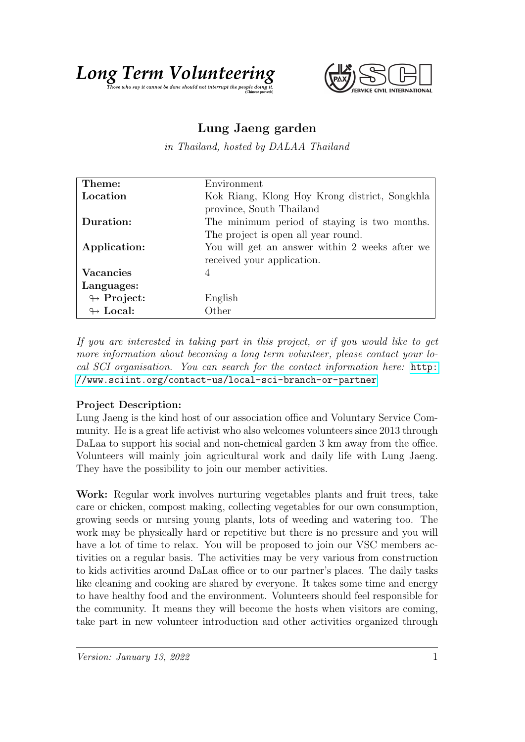



## Lung Jaeng garden

in Thailand, hosted by DALAA Thailand

| Theme:                     | Environment                                    |
|----------------------------|------------------------------------------------|
| Location                   | Kok Riang, Klong Hoy Krong district, Songkhla  |
|                            | province, South Thailand                       |
| Duration:                  | The minimum period of staying is two months.   |
|                            | The project is open all year round.            |
| Application:               | You will get an answer within 2 weeks after we |
|                            | received your application.                     |
| Vacancies                  | 4                                              |
| Languages:                 |                                                |
| $\leftrightarrow$ Project: | English                                        |
| $\leftrightarrow$ Local:   | Other                                          |

If you are interested in taking part in this project, or if you would like to get more information about becoming a long term volunteer, please contact your local SCI organisation. You can search for the contact information here: [http:](http://www.sciint.org/contact-us/local-sci-branch-or-partner) [//www.sciint.org/contact-us/local-sci-branch-or-partner](http://www.sciint.org/contact-us/local-sci-branch-or-partner)

## Project Description:

Lung Jaeng is the kind host of our association office and Voluntary Service Community. He is a great life activist who also welcomes volunteers since 2013 through DaLaa to support his social and non-chemical garden 3 km away from the office. Volunteers will mainly join agricultural work and daily life with Lung Jaeng. They have the possibility to join our member activities.

Work: Regular work involves nurturing vegetables plants and fruit trees, take care or chicken, compost making, collecting vegetables for our own consumption, growing seeds or nursing young plants, lots of weeding and watering too. The work may be physically hard or repetitive but there is no pressure and you will have a lot of time to relax. You will be proposed to join our VSC members activities on a regular basis. The activities may be very various from construction to kids activities around DaLaa office or to our partner's places. The daily tasks like cleaning and cooking are shared by everyone. It takes some time and energy to have healthy food and the environment. Volunteers should feel responsible for the community. It means they will become the hosts when visitors are coming, take part in new volunteer introduction and other activities organized through